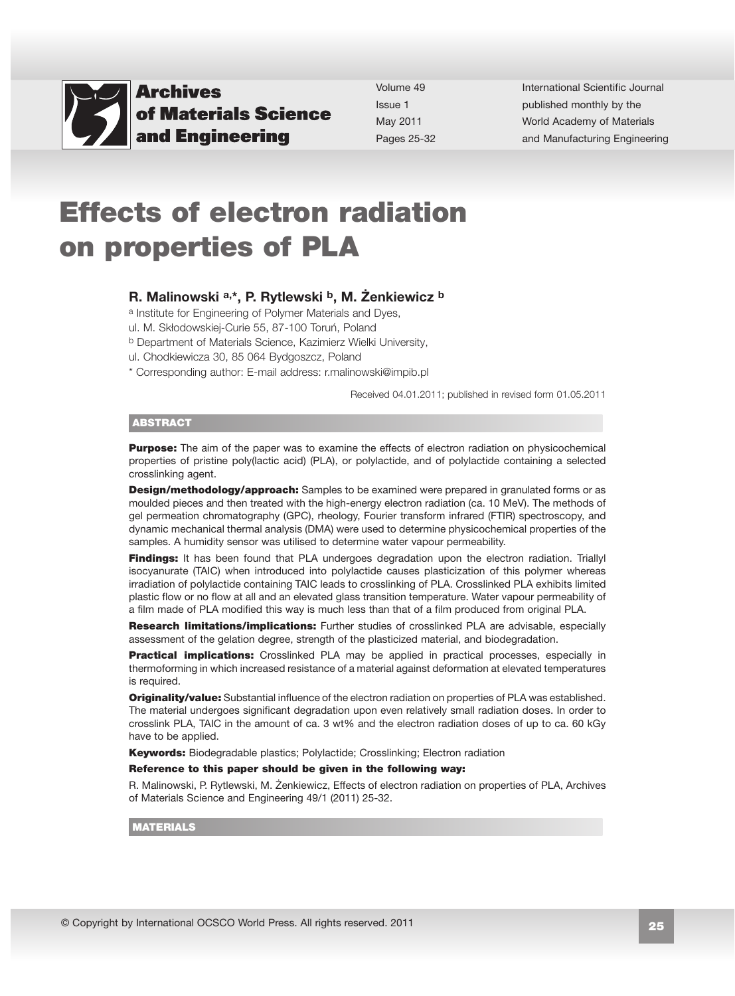

Volume 49 Issue 1 May 2011 Pages 25-32 International Scientific Journal published monthly by the World Academy of Materials [and Manufacturing Engineering](http://www.archivesmse.org) 

# Effects of electron radiation on properties of PLA

## R. Malinowski a,\*, P. Rytlewski b, M. Żenkiewicz b

a Institute for Engineering of Polymer Materials and Dyes,

ul. M. Skłodowskiej-Curie 55, 87-100 Toruń, Poland

b Department of Materials Science, Kazimierz Wielki University,

ul. Chodkiewicza 30, 85 064 Bydgoszcz, Poland

\* Corresponding author: E-mail address: r.malinowski@impib.pl

Received 04.01.2011; published in revised form 01.05.2011

#### ABSTRACT

**Purpose:** The aim of the paper was to examine the effects of electron radiation on physicochemical properties of pristine poly(lactic acid) (PLA), or polylactide, and of polylactide containing a selected crosslinking agent.

**Design/methodology/approach:** Samples to be examined were prepared in granulated forms or as moulded pieces and then treated with the high-energy electron radiation (ca. 10 MeV). The methods of gel permeation chromatography (GPC), rheology, Fourier transform infrared (FTIR) spectroscopy, and dynamic mechanical thermal analysis (DMA) were used to determine physicochemical properties of the samples. A humidity sensor was utilised to determine water vapour permeability.

Findings: It has been found that PLA undergoes degradation upon the electron radiation. Triallyl isocyanurate (TAIC) when introduced into polylactide causes plasticization of this polymer whereas irradiation of polylactide containing TAIC leads to crosslinking of PLA. Crosslinked PLA exhibits limited plastic flow or no flow at all and an elevated glass transition temperature. Water vapour permeability of a film made of PLA modified this way is much less than that of a film produced from original PLA.

Research limitations/implications: Further studies of crosslinked PLA are advisable, especially assessment of the gelation degree, strength of the plasticized material, and biodegradation.

**Practical implications:** Crosslinked PLA may be applied in practical processes, especially in thermoforming in which increased resistance of a material against deformation at elevated temperatures is required.

Originality/value: Substantial influence of the electron radiation on properties of PLA was established. The material undergoes significant degradation upon even relatively small radiation doses. In order to crosslink PLA, TAIC in the amount of ca. 3 wt% and the electron radiation doses of up to ca. 60 kGy have to be applied.

Keywords: Biodegradable plastics; Polylactide; Crosslinking; Electron radiation

#### Reference to this paper should be given in the following way:

R. Malinowski, P. Rytlewski, M. Żenkiewicz, Effects of electron radiation on properties of PLA, Archives of Materials Science and Engineering 49/1 (2011) 25-32.

#### MATERIALS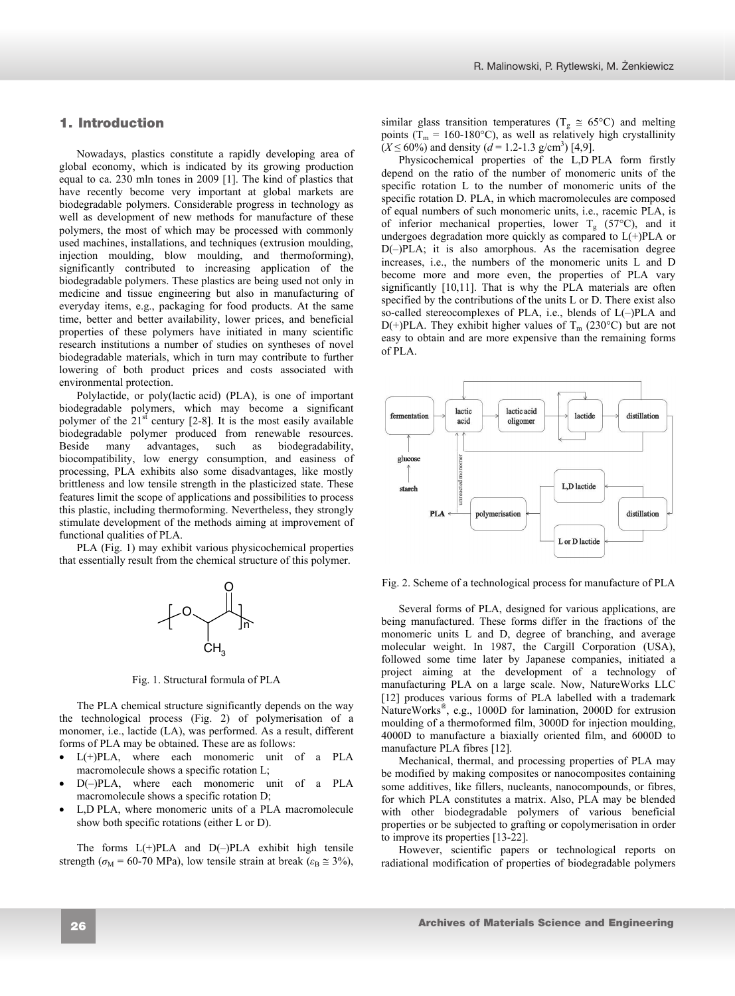# **1. Introduction**  1. Introduction

Nowadays, plastics constitute a rapidly developing area of global economy, which is indicated by its growing production equal to ca. 230 mln tones in 2009 [1]. The kind of plastics that have recently become very important at global markets are biodegradable polymers. Considerable progress in technology as well as development of new methods for manufacture of these polymers, the most of which may be processed with commonly used machines, installations, and techniques (extrusion moulding, injection moulding, blow moulding, and thermoforming), significantly contributed to increasing application of the biodegradable polymers. These plastics are being used not only in medicine and tissue engineering but also in manufacturing of everyday items, e.g., packaging for food products. At the same time, better and better availability, lower prices, and beneficial properties of these polymers have initiated in many scientific research institutions a number of studies on syntheses of novel biodegradable materials, which in turn may contribute to further lowering of both product prices and costs associated with environmental protection.

Polylactide, or poly(lactic acid) (PLA), is one of important biodegradable polymers, which may become a significant polymer of the  $21<sup>st</sup>$  century [2-8]. It is the most easily available biodegradable polymer produced from renewable resources. Beside many advantages, such as biodegradability, biocompatibility, low energy consumption, and easiness of processing, PLA exhibits also some disadvantages, like mostly brittleness and low tensile strength in the plasticized state. These features limit the scope of applications and possibilities to process this plastic, including thermoforming. Nevertheless, they strongly stimulate development of the methods aiming at improvement of functional qualities of PLA.

PLA (Fig. 1) may exhibit various physicochemical properties that essentially result from the chemical structure of this polymer.



Fig. 1. Structural formula of PLA

The PLA chemical structure significantly depends on the way the technological process (Fig. 2) of polymerisation of a monomer, i.e., lactide (LA), was performed. As a result, different forms of PLA may be obtained. These are as follows:

- $L(+)PLA$ , where each monomeric unit of a PLA macromolecule shows a specific rotation L;
- x D(–)PLA, where each monomeric unit of a PLA macromolecule shows a specific rotation D;
- L,D PLA, where monomeric units of a PLA macromolecule show both specific rotations (either L or D).

The forms  $L(+)PLA$  and  $D(-)PLA$  exhibit high tensile strength ( $\sigma_{\rm M}$  = 60-70 MPa), low tensile strain at break ( $\varepsilon_{\rm B} \approx 3\%$ ), similar glass transition temperatures ( $T_g \approx 65^{\circ}$ C) and melting points ( $T_m = 160-180$ °C), as well as relatively high crystallinity  $(X \le 60\%)$  and density ( $d = 1.2 - 1.3$  g/cm<sup>3</sup>) [4,9].

Physicochemical properties of the L,D PLA form firstly depend on the ratio of the number of monomeric units of the specific rotation L to the number of monomeric units of the specific rotation D. PLA, in which macromolecules are composed of equal numbers of such monomeric units, i.e., racemic PLA, is of inferior mechanical properties, lower  $T_g$  (57°C), and it undergoes degradation more quickly as compared to L(+)PLA or D(–)PLA; it is also amorphous. As the racemisation degree increases, i.e., the numbers of the monomeric units L and D become more and more even, the properties of PLA vary significantly [10,11]. That is why the PLA materials are often specified by the contributions of the units L or D. There exist also so-called stereocomplexes of PLA, i.e., blends of L(–)PLA and D(+)PLA. They exhibit higher values of  $T_m$  (230°C) but are not easy to obtain and are more expensive than the remaining forms of PLA.



Fig. 2. Scheme of a technological process for manufacture of PLA

Several forms of PLA, designed for various applications, are being manufactured. These forms differ in the fractions of the monomeric units L and D, degree of branching, and average molecular weight. In 1987, the Cargill Corporation (USA), followed some time later by Japanese companies, initiated a project aiming at the development of a technology of manufacturing PLA on a large scale. Now, NatureWorks LLC [12] produces various forms of PLA labelled with a trademark NatureWorks®, e.g., 1000D for lamination, 2000D for extrusion moulding of a thermoformed film, 3000D for injection moulding, 4000D to manufacture a biaxially oriented film, and 6000D to manufacture PLA fibres [12].

Mechanical, thermal, and processing properties of PLA may be modified by making composites or nanocomposites containing some additives, like fillers, nucleants, nanocompounds, or fibres, for which PLA constitutes a matrix. Also, PLA may be blended with other biodegradable polymers of various beneficial properties or be subjected to grafting or copolymerisation in order to improve its properties [13-22].

However, scientific papers or technological reports on radiational modification of properties of biodegradable polymers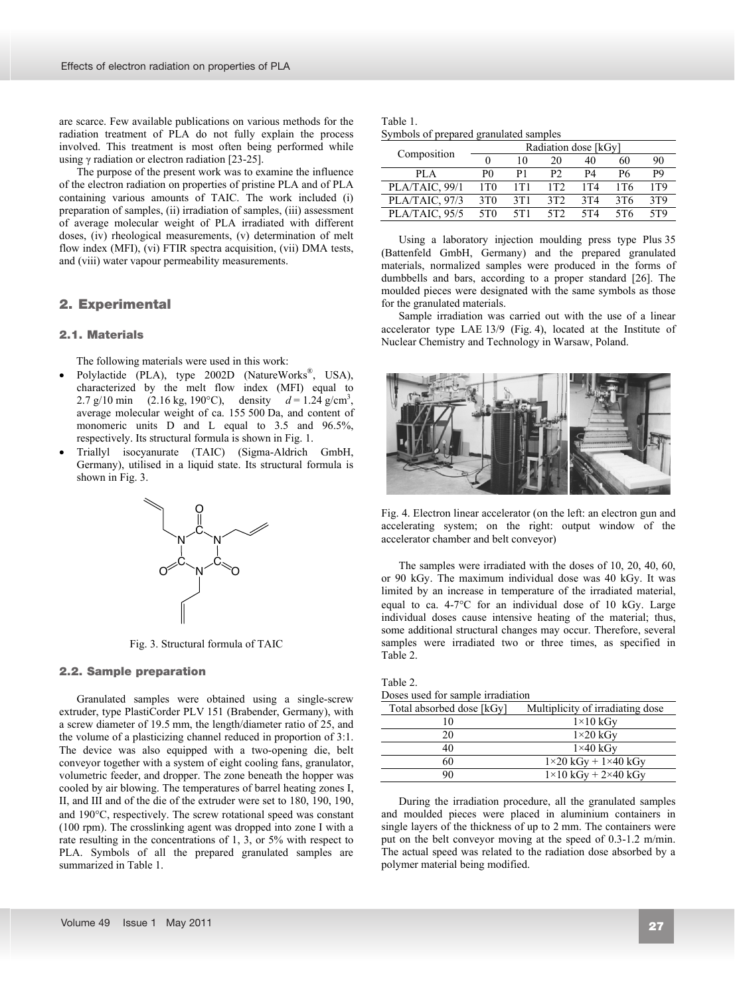are scarce. Few available publications on various methods for the radiation treatment of PLA do not fully explain the process involved. This treatment is most often being performed while using  $\gamma$  radiation or electron radiation [23-25].

The purpose of the present work was to examine the influence of the electron radiation on properties of pristine PLA and of PLA containing various amounts of TAIC. The work included (i) preparation of samples, (ii) irradiation of samples, (iii) assessment of average molecular weight of PLA irradiated with different doses, (iv) rheological measurements, (v) determination of melt flow index (MFI), (vi) FTIR spectra acquisition, (vii) DMA tests, and (viii) water vapour permeability measurements.

# **2. Experimental**  2. Experimental

## **2.1. Materials**  2.1. Materials

The following materials were used in this work:

- Polylactide (PLA), type 2002D (NatureWorks®, USA), characterized by the melt flow index (MFI) equal to 2.7 g/10 min (2.16 kg, 190°C), density  $d = 1.24$  g/cm<sup>3</sup>, average molecular weight of ca. 155 500 Da, and content of monomeric units D and L equal to 3.5 and 96.5%, respectively. Its structural formula is shown in Fig. 1.
- x Triallyl isocyanurate (TAIC) (Sigma-Aldrich GmbH, Germany), utilised in a liquid state. Its structural formula is shown in Fig. 3.



Fig. 3. Structural formula of TAIC

## **2.2. Sample preparation**  2.2. Sample preparation

Granulated samples were obtained using a single-screw extruder, type PlastiCorder PLV 151 (Brabender, Germany), with a screw diameter of 19.5 mm, the length/diameter ratio of 25, and the volume of a plasticizing channel reduced in proportion of 3:1. The device was also equipped with a two-opening die, belt conveyor together with a system of eight cooling fans, granulator, volumetric feeder, and dropper. The zone beneath the hopper was cooled by air blowing. The temperatures of barrel heating zones I, II, and III and of the die of the extruder were set to 180, 190, 190, and  $190^{\circ}$ C, respectively. The screw rotational speed was constant (100 rpm). The crosslinking agent was dropped into zone I with a rate resulting in the concentrations of 1, 3, or 5% with respect to PLA. Symbols of all the prepared granulated samples are summarized in Table 1.

| Table 1.                               |  |
|----------------------------------------|--|
| Symbols of prepared granulated samples |  |

|                | Radiation dose [kGy] |       |                |                 |     |       |
|----------------|----------------------|-------|----------------|-----------------|-----|-------|
| Composition    |                      | 10    | 20             | 40              | 60  | 90    |
| PL A           | P0                   | P1    | P <sub>2</sub> | P4              | Р6  | P9    |
| PLA/TAIC, 99/1 | 1T <sub>0</sub>      | 1 T 1 | 1T2            | 1 T 4           | 1T6 | 1 T 9 |
| PLA/TAIC, 97/3 | 3T <sub>0</sub>      | 3T1   | 3T2            | 3T <sub>4</sub> | 3T6 | 3T9   |
| PLA/TAIC, 95/5 | 5T <sub>0</sub>      | 5T1   | 5T2            | 5T4             | 5T6 | 5T9   |

Using a laboratory injection moulding press type Plus 35 (Battenfeld GmbH, Germany) and the prepared granulated materials, normalized samples were produced in the forms of dumbbells and bars, according to a proper standard [26]. The moulded pieces were designated with the same symbols as those for the granulated materials.

Sample irradiation was carried out with the use of a linear accelerator type LAE 13/9 (Fig. 4), located at the Institute of Nuclear Chemistry and Technology in Warsaw, Poland.



Fig. 4. Electron linear accelerator (on the left: an electron gun and accelerating system; on the right: output window of the accelerator chamber and belt conveyor)

The samples were irradiated with the doses of 10, 20, 40, 60, or 90 kGy. The maximum individual dose was 40 kGy. It was limited by an increase in temperature of the irradiated material, equal to ca.  $4\text{-}7\degree C$  for an individual dose of 10 kGy. Large individual doses cause intensive heating of the material; thus, some additional structural changes may occur. Therefore, several samples were irradiated two or three times, as specified in Table 2.

|  |  |  |  | Doses used for sample irradiation |
|--|--|--|--|-----------------------------------|
|--|--|--|--|-----------------------------------|

| Total absorbed dose [kGy] | Multiplicity of irradiating dose   |
|---------------------------|------------------------------------|
| 10                        | $1\times10$ kGy                    |
| 20                        | $1\times20$ kGy                    |
| 40                        | $1\times40$ kGy                    |
| 60                        | $1\times20$ kGy + $1\times40$ kGy  |
| 90                        | $1\times10$ kGy + 2 $\times40$ kGy |

During the irradiation procedure, all the granulated samples and moulded pieces were placed in aluminium containers in single layers of the thickness of up to 2 mm. The containers were put on the belt conveyor moving at the speed of 0.3-1.2 m/min. The actual speed was related to the radiation dose absorbed by a polymer material being modified.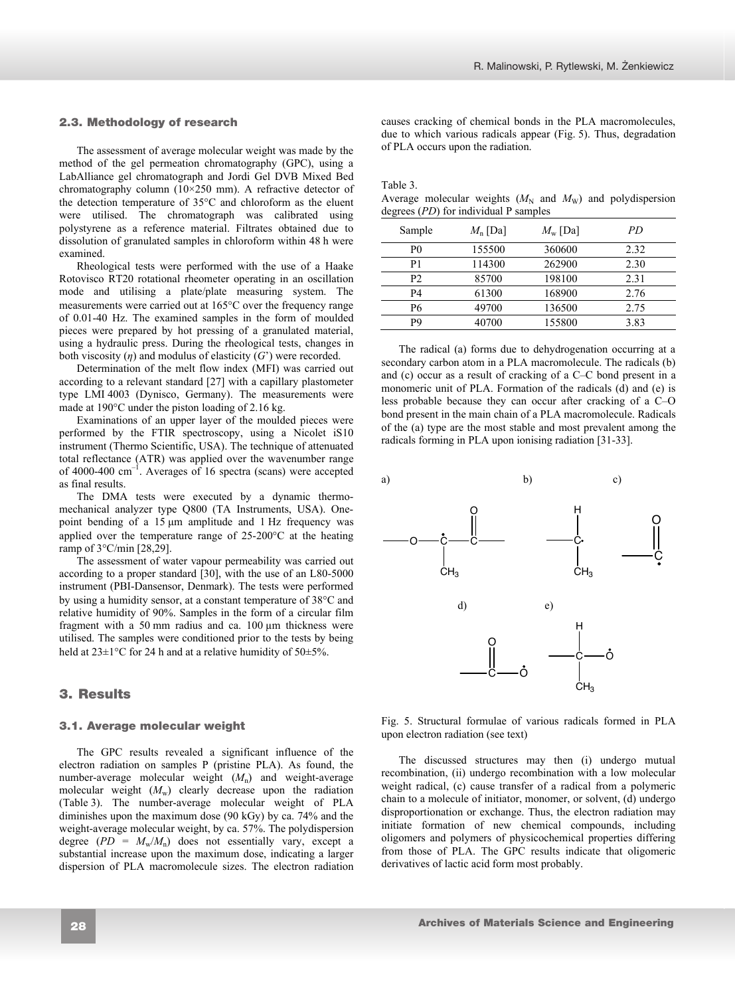## **2.3. Methodology of research**  2.3. Methodology of research

The assessment of average molecular weight was made by the method of the gel permeation chromatography (GPC), using a LabAlliance gel chromatograph and Jordi Gel DVB Mixed Bed chromatography column  $(10\times250 \text{ mm})$ . A refractive detector of the detection temperature of  $35^{\circ}$ C and chloroform as the eluent were utilised. The chromatograph was calibrated using polystyrene as a reference material. Filtrates obtained due to dissolution of granulated samples in chloroform within 48 h were examined.

Rheological tests were performed with the use of a Haake Rotovisco RT20 rotational rheometer operating in an oscillation mode and utilising a plate/plate measuring system. The measurements were carried out at  $165^{\circ}$ C over the frequency range of 0.01-40 Hz. The examined samples in the form of moulded pieces were prepared by hot pressing of a granulated material, using a hydraulic press. During the rheological tests, changes in both viscosity  $(\eta)$  and modulus of elasticity  $(G')$  were recorded.

Determination of the melt flow index (MFI) was carried out according to a relevant standard [27] with a capillary plastometer type LMI 4003 (Dynisco, Germany). The measurements were made at  $190^{\circ}$ C under the piston loading of 2.16 kg.

Examinations of an upper layer of the moulded pieces were performed by the FTIR spectroscopy, using a Nicolet iS10 instrument (Thermo Scientific, USA). The technique of attenuated total reflectance (ATR) was applied over the wavenumber range of 4000-400  $\text{cm}^{-1}$ . Averages of 16 spectra (scans) were accepted as final results.

The DMA tests were executed by a dynamic thermomechanical analyzer type Q800 (TA Instruments, USA). Onepoint bending of a 15 µm amplitude and 1 Hz frequency was applied over the temperature range of  $25{\text -}200^{\circ}\text{C}$  at the heating ramp of 3°C/min [28,29].

The assessment of water vapour permeability was carried out according to a proper standard [30], with the use of an L80-5000 instrument (PBI-Dansensor, Denmark). The tests were performed by using a humidity sensor, at a constant temperature of  $38^{\circ}$ C and relative humidity of 90%. Samples in the form of a circular film fragment with a 50 mm radius and ca.  $100 \mu m$  thickness were utilised. The samples were conditioned prior to the tests by being held at  $23\pm1^{\circ}$ C for 24 h and at a relative humidity of  $50\pm5\%$ .

# **3. Results** 3. Results

## **3.1. Average molecular weight**  3.1. Average molecular weight

The GPC results revealed a significant influence of the electron radiation on samples P (pristine PLA). As found, the number-average molecular weight (*M*n) and weight-average molecular weight  $(M_w)$  clearly decrease upon the radiation (Table 3). The number-average molecular weight of PLA diminishes upon the maximum dose (90 kGy) by ca. 74% and the weight-average molecular weight, by ca. 57%. The polydispersion degree  $(PD = M_w/M_n)$  does not essentially vary, except a substantial increase upon the maximum dose, indicating a larger dispersion of PLA macromolecule sizes. The electron radiation causes cracking of chemical bonds in the PLA macromolecules, due to which various radicals appear (Fig. 5). Thus, degradation of PLA occurs upon the radiation.

Table 3.

Average molecular weights  $(M_N \text{ and } M_W)$  and polydispersion degrees (*PD*) for individual P samples

| Sample         | $M_{n}$ [Da] | $M_{\rm w}$ [Da] | РD   |
|----------------|--------------|------------------|------|
| P0             | 155500       | 360600           | 2.32 |
| P1             | 114300       | 262900           | 2.30 |
| P <sub>2</sub> | 85700        | 198100           | 2.31 |
| P4             | 61300        | 168900           | 2.76 |
| P6             | 49700        | 136500           | 2.75 |
| P9             | 40700        | 155800           | 3.83 |

The radical (a) forms due to dehydrogenation occurring at a secondary carbon atom in a PLA macromolecule. The radicals (b) and (c) occur as a result of cracking of a C–C bond present in a monomeric unit of PLA. Formation of the radicals (d) and (e) is less probable because they can occur after cracking of a C–O bond present in the main chain of a PLA macromolecule. Radicals of the (a) type are the most stable and most prevalent among the radicals forming in PLA upon ionising radiation [31-33].



Fig. 5. Structural formulae of various radicals formed in PLA upon electron radiation (see text)

The discussed structures may then (i) undergo mutual recombination, (ii) undergo recombination with a low molecular weight radical, (c) cause transfer of a radical from a polymeric chain to a molecule of initiator, monomer, or solvent, (d) undergo disproportionation or exchange. Thus, the electron radiation may initiate formation of new chemical compounds, including oligomers and polymers of physicochemical properties differing from those of PLA. The GPC results indicate that oligomeric derivatives of lactic acid form most probably.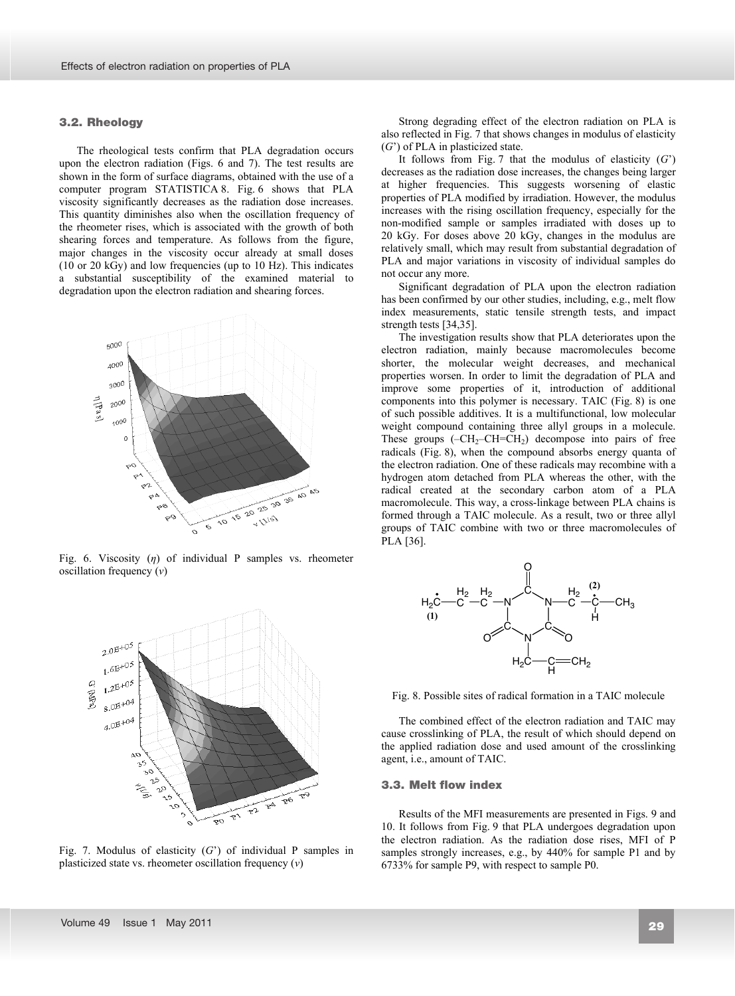## **3.2. Rheology**  3.2. Rheology

The rheological tests confirm that PLA degradation occurs upon the electron radiation (Figs. 6 and 7). The test results are shown in the form of surface diagrams, obtained with the use of a computer program STATISTICA 8. Fig. 6 shows that PLA viscosity significantly decreases as the radiation dose increases. This quantity diminishes also when the oscillation frequency of the rheometer rises, which is associated with the growth of both shearing forces and temperature. As follows from the figure, major changes in the viscosity occur already at small doses (10 or 20 kGy) and low frequencies (up to 10 Hz). This indicates a substantial susceptibility of the examined material to degradation upon the electron radiation and shearing forces.



Fig. 6. Viscosity (*n*) of individual P samples vs. rheometer oscillation frequency (*Ȟ*)



Fig. 7. Modulus of elasticity (*G*') of individual P samples in plasticized state vs. rheometer oscillation frequency (*Ȟ*)

Strong degrading effect of the electron radiation on PLA is also reflected in Fig. 7 that shows changes in modulus of elasticity (*G*') of PLA in plasticized state.

It follows from Fig. 7 that the modulus of elasticity  $(G')$ decreases as the radiation dose increases, the changes being larger at higher frequencies. This suggests worsening of elastic properties of PLA modified by irradiation. However, the modulus increases with the rising oscillation frequency, especially for the non-modified sample or samples irradiated with doses up to 20 kGy. For doses above 20 kGy, changes in the modulus are relatively small, which may result from substantial degradation of PLA and major variations in viscosity of individual samples do not occur any more.

Significant degradation of PLA upon the electron radiation has been confirmed by our other studies, including, e.g., melt flow index measurements, static tensile strength tests, and impact strength tests [34,35].

The investigation results show that PLA deteriorates upon the electron radiation, mainly because macromolecules become shorter, the molecular weight decreases, and mechanical properties worsen. In order to limit the degradation of PLA and improve some properties of it, introduction of additional components into this polymer is necessary. TAIC (Fig. 8) is one of such possible additives. It is a multifunctional, low molecular weight compound containing three allyl groups in a molecule. These groups  $(-CH<sub>2</sub>-CH=CH<sub>2</sub>)$  decompose into pairs of free radicals (Fig. 8), when the compound absorbs energy quanta of the electron radiation. One of these radicals may recombine with a hydrogen atom detached from PLA whereas the other, with the radical created at the secondary carbon atom of a PLA macromolecule. This way, a cross-linkage between PLA chains is formed through a TAIC molecule. As a result, two or three allyl groups of TAIC combine with two or three macromolecules of PLA [36].



Fig. 8. Possible sites of radical formation in a TAIC molecule

The combined effect of the electron radiation and TAIC may cause crosslinking of PLA, the result of which should depend on the applied radiation dose and used amount of the crosslinking agent, i.e., amount of TAIC.

## **3.3. Melt flow index**  3.3. Melt flow index

Results of the MFI measurements are presented in Figs. 9 and 10. It follows from Fig. 9 that PLA undergoes degradation upon the electron radiation. As the radiation dose rises, MFI of P samples strongly increases, e.g., by 440% for sample P1 and by 6733% for sample P9, with respect to sample P0.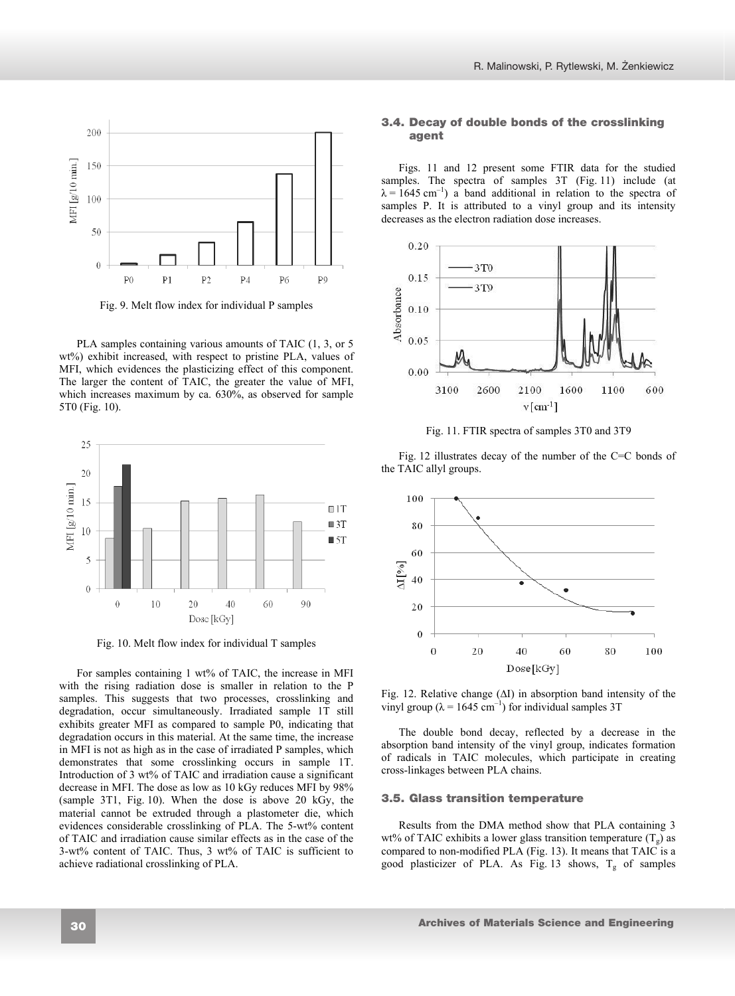

Fig. 9. Melt flow index for individual P samples

PLA samples containing various amounts of TAIC (1, 3, or 5 wt%) exhibit increased, with respect to pristine PLA, values of MFI, which evidences the plasticizing effect of this component. The larger the content of TAIC, the greater the value of MFI, which increases maximum by ca. 630%, as observed for sample 5T0 (Fig. 10).



Fig. 10. Melt flow index for individual T samples

For samples containing 1 wt% of TAIC, the increase in MFI with the rising radiation dose is smaller in relation to the P samples. This suggests that two processes, crosslinking and degradation, occur simultaneously. Irradiated sample 1T still exhibits greater MFI as compared to sample P0, indicating that degradation occurs in this material. At the same time, the increase in MFI is not as high as in the case of irradiated P samples, which demonstrates that some crosslinking occurs in sample 1T. Introduction of 3 wt% of TAIC and irradiation cause a significant decrease in MFI. The dose as low as 10 kGy reduces MFI by 98% (sample 3T1, Fig. 10). When the dose is above 20 kGy, the material cannot be extruded through a plastometer die, which evidences considerable crosslinking of PLA. The 5-wt% content of TAIC and irradiation cause similar effects as in the case of the 3-wt% content of TAIC. Thus, 3 wt% of TAIC is sufficient to achieve radiational crosslinking of PLA.

## **3.4. Decay of double bonds of the crosslinking**  3.4. Decay of double bonds of the crosslinking **agent**  agent

Figs. 11 and 12 present some FTIR data for the studied samples. The spectra of samples 3T (Fig. 11) include (at  $\lambda = 1645$  cm<sup>-1</sup>) a band additional in relation to the spectra of samples P. It is attributed to a vinyl group and its intensity decreases as the electron radiation dose increases.



Fig. 11. FTIR spectra of samples 3T0 and 3T9

Fig. 12 illustrates decay of the number of the C=C bonds of the TAIC allyl groups.



Fig. 12. Relative change  $(\Delta I)$  in absorption band intensity of the vinyl group ( $\lambda = 1645$  cm<sup>-1</sup>) for individual samples 3T

The double bond decay, reflected by a decrease in the absorption band intensity of the vinyl group, indicates formation of radicals in TAIC molecules, which participate in creating cross-linkages between PLA chains.

## **3.5. Glass transition temperature**  3.5. Glass transition temperature

Results from the DMA method show that PLA containing 3 wt% of TAIC exhibits a lower glass transition temperature  $(T_g)$  as compared to non-modified PLA (Fig. 13). It means that TAIC is a good plasticizer of PLA. As Fig. 13 shows,  $T_g$  of samples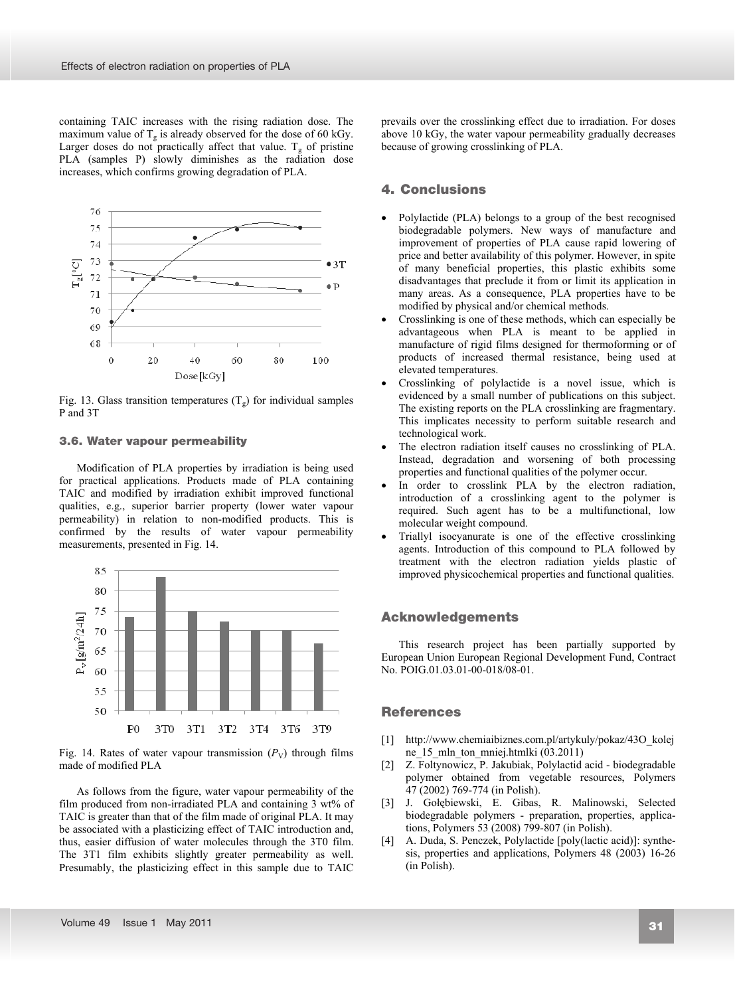containing TAIC increases with the rising radiation dose. The maximum value of  $T_g$  is already observed for the dose of 60 kGy. Larger doses do not practically affect that value.  $T_g$  of pristine PLA (samples P) slowly diminishes as the radiation dose increases, which confirms growing degradation of PLA.



Fig. 13. Glass transition temperatures  $(T<sub>g</sub>)$  for individual samples P and 3T

## **3.6. Water vapour permeability**  3.6. Water vapour permeability

Modification of PLA properties by irradiation is being used for practical applications. Products made of PLA containing TAIC and modified by irradiation exhibit improved functional qualities, e.g., superior barrier property (lower water vapour permeability) in relation to non-modified products. This is confirmed by the results of water vapour permeability measurements, presented in Fig. 14.



Fig. 14. Rates of water vapour transmission  $(P_V)$  through films made of modified PLA

As follows from the figure, water vapour permeability of the film produced from non-irradiated PLA and containing 3 wt% of TAIC is greater than that of the film made of original PLA. It may be associated with a plasticizing effect of TAIC introduction and, thus, easier diffusion of water molecules through the 3T0 film. The 3T1 film exhibits slightly greater permeability as well. Presumably, the plasticizing effect in this sample due to TAIC

prevails over the crosslinking effect due to irradiation. For doses above 10 kGy, the water vapour permeability gradually decreases because of growing crosslinking of PLA.

# **4. Conclusions**  4. Conclusions

- Polylactide (PLA) belongs to a group of the best recognised biodegradable polymers. New ways of manufacture and improvement of properties of PLA cause rapid lowering of price and better availability of this polymer. However, in spite of many beneficial properties, this plastic exhibits some disadvantages that preclude it from or limit its application in many areas. As a consequence, PLA properties have to be modified by physical and/or chemical methods.
- Crosslinking is one of these methods, which can especially be advantageous when PLA is meant to be applied in manufacture of rigid films designed for thermoforming or of products of increased thermal resistance, being used at elevated temperatures.
- Crosslinking of polylactide is a novel issue, which is evidenced by a small number of publications on this subject. The existing reports on the PLA crosslinking are fragmentary. This implicates necessity to perform suitable research and technological work.
- The electron radiation itself causes no crosslinking of PLA. Instead, degradation and worsening of both processing properties and functional qualities of the polymer occur.
- In order to crosslink PLA by the electron radiation, introduction of a crosslinking agent to the polymer is required. Such agent has to be a multifunctional, low molecular weight compound.
- Triallyl isocyanurate is one of the effective crosslinking agents. Introduction of this compound to PLA followed by treatment with the electron radiation yields plastic of improved physicochemical properties and functional qualities.

# **Acknowledgment**  Acknowledgements

This research project has been partially supported by European Union European Regional Development Fund, Contract No. POIG.01.03.01-00-018/08-01.

# **References**  References

- [1] http://www.chemiaibiznes.com.pl/artykuly/pokaz/43O\_kolej ne 15 mln ton mniej.htmlki (03.2011)
- [2] Z. Foltynowicz, P. Jakubiak, Polylactid acid biodegradable polymer obtained from vegetable resources, Polymers 47 (2002) 769-774 (in Polish).
- [3] J. Gołębiewski, E. Gibas, R. Malinowski, Selected biodegradable polymers - preparation, properties, applications, Polymers 53 (2008) 799-807 (in Polish).
- [4] A. Duda, S. Penczek, Polylactide [poly(lactic acid)]: synthesis, properties and applications, Polymers 48 (2003) 16-26 (in Polish).